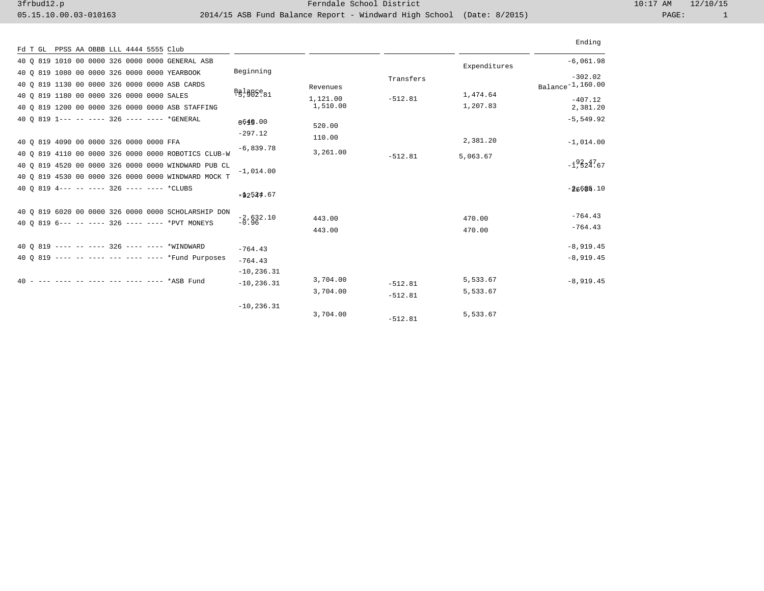|                                                     |                                                                         |          |           |              | Ending                                          |
|-----------------------------------------------------|-------------------------------------------------------------------------|----------|-----------|--------------|-------------------------------------------------|
| Fd T GL PPSS AA OBBB LLL 4444 5555 Club             |                                                                         |          |           |              |                                                 |
| 40 Q 819 1010 00 0000 326 0000 0000 GENERAL ASB     |                                                                         |          |           | Expenditures | $-6,061.98$                                     |
| 40 0 819 1080 00 0000 326 0000 0000 YEARBOOK        | Beginning                                                               |          | Transfers |              | $-302.02$                                       |
| 40 Q 819 1130 00 0000 326 0000 0000 ASB CARDS       |                                                                         | Revenues |           |              | Balance <sup>-1,160.00</sup>                    |
| 40 0 819 1180 00 0000 326 0000 0000 SALES           | $\frac{B}{5}$ , $\frac{B}{7}$ $\frac{B}{7}$ $\frac{C}{7}$ $\frac{C}{7}$ | 1,121.00 | $-512.81$ | 1,474.64     | $-407.12$                                       |
| 40 0 819 1200 00 0000 326 0000 0000 ASB STAFFING    |                                                                         | 1,510.00 |           | 1,207.83     | 2,381.20                                        |
| 40 0 819 1--- -- ---- 326 ---- ---- *GENERAL        | 0.649.00                                                                |          |           |              | $-5, 549.92$                                    |
|                                                     | $-297.12$                                                               | 520.00   |           |              |                                                 |
| 40 0 819 4090 00 0000 326 0000 0000 FFA             |                                                                         | 110.00   |           | 2,381.20     | $-1,014.00$                                     |
| 40 0 819 4110 00 0000 326 0000 0000 ROBOTICS CLUB-W | $-6.839.78$                                                             | 3,261.00 | $-512.81$ | 5,063.67     |                                                 |
| 40 0 819 4520 00 0000 326 0000 0000 WINDWARD PUB CL |                                                                         |          |           |              | $-\bar{1}$ , $\bar{5}$ $2\bar{4}$ , $\bar{6}$ 7 |
| 40 0 819 4530 00 0000 326 0000 0000 WINDWARD MOCK T | $-1,014.00$                                                             |          |           |              |                                                 |
| 40 0 819 4--- -- ---- 326 ---- ---- *CLUBS          |                                                                         |          |           |              | $-26605.10$                                     |
|                                                     | $= 42524.67$                                                            |          |           |              |                                                 |
| 40 0 819 6020 00 0000 326 0000 0000 SCHOLARSHIP DON |                                                                         |          |           |              |                                                 |
| 40 0 819 6--- -- ---- 326 ---- ---- *PVT MONEYS     | $-2,632.10$                                                             | 443.00   |           | 470.00       | $-764.43$                                       |
|                                                     |                                                                         | 443.00   |           | 470.00       | $-764.43$                                       |
| 40 0 819 ---- -- ---- 326 ---- ---- *WINDWARD       |                                                                         |          |           |              | $-8,919.45$                                     |
| 40 0 819 ---- -- ---- --- ---- ---- *Fund Purposes  | $-764.43$                                                               |          |           |              | $-8,919.45$                                     |
|                                                     | $-764.43$                                                               |          |           |              |                                                 |
| 40 - --- ---- -- ---- --- ---- ---- *ASB Fund       | $-10, 236.31$                                                           | 3,704.00 |           | 5,533.67     |                                                 |
|                                                     | $-10, 236.31$                                                           |          | $-512.81$ |              | $-8,919.45$                                     |
|                                                     |                                                                         | 3,704.00 | $-512.81$ | 5,533.67     |                                                 |
|                                                     | $-10, 236.31$                                                           |          |           |              |                                                 |
|                                                     |                                                                         | 3,704.00 | $-512.81$ | 5,533.67     |                                                 |